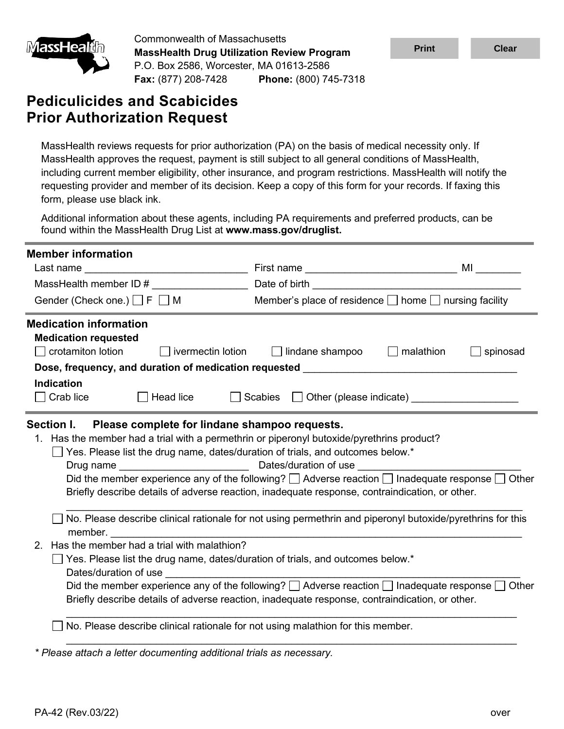

Commonwealth of Massachusetts **MassHealth Drug Utilization Review Program** P.O. Box 2586, Worcester, MA 01613-2586 **Fax:** (877) 208-7428 **Phone:** (800) 745-7318

# **Pediculicides and Scabicides Prior Authorization Request**

| <u>imassHealun</u>                           | <b>MassHealth Drug Utilization Review Program</b>                                    |                                                                                                                                                                                                                                                                                                                                                                                                                                       | <b>Print</b> | <b>Clear</b> |
|----------------------------------------------|--------------------------------------------------------------------------------------|---------------------------------------------------------------------------------------------------------------------------------------------------------------------------------------------------------------------------------------------------------------------------------------------------------------------------------------------------------------------------------------------------------------------------------------|--------------|--------------|
|                                              | P.O. Box 2586, Worcester, MA 01613-2586<br>Fax: (877) 208-7428 Phone: (800) 745-7318 |                                                                                                                                                                                                                                                                                                                                                                                                                                       |              |              |
|                                              | <b>Pediculicides and Scabicides</b><br><b>Prior Authorization Request</b>            |                                                                                                                                                                                                                                                                                                                                                                                                                                       |              |              |
| form, please use black ink.                  |                                                                                      | MassHealth reviews requests for prior authorization (PA) on the basis of medical necessity only. If<br>MassHealth approves the request, payment is still subject to all general conditions of MassHealth,<br>including current member eligibility, other insurance, and program restrictions. MassHealth will notify the<br>requesting provider and member of its decision. Keep a copy of this form for your records. If faxing this |              |              |
|                                              | found within the MassHealth Drug List at www.mass.gov/druglist.                      | Additional information about these agents, including PA requirements and preferred products, can be                                                                                                                                                                                                                                                                                                                                   |              |              |
| <b>Member information</b>                    |                                                                                      |                                                                                                                                                                                                                                                                                                                                                                                                                                       |              |              |
|                                              |                                                                                      |                                                                                                                                                                                                                                                                                                                                                                                                                                       |              | ML           |
|                                              | Gender (Check one.) $\Box$ F $\Box$ M                                                | Member's place of residence $\Box$ home $\Box$ nursing facility                                                                                                                                                                                                                                                                                                                                                                       |              |              |
| <b>Indication</b><br>Crab lice<br>Section I. | Head lice<br>$\mathbf{L}$<br>Please complete for lindane shampoo requests.           | Scabies <b>Other</b> (please indicate)                                                                                                                                                                                                                                                                                                                                                                                                |              |              |
| Drug name                                    |                                                                                      | 1. Has the member had a trial with a permethrin or piperonyl butoxide/pyrethrins product?<br>Yes. Please list the drug name, dates/duration of trials, and outcomes below.*<br>Dates/duration of use                                                                                                                                                                                                                                  |              |              |
|                                              |                                                                                      | Did the member experience any of the following? $\Box$ Adverse reaction $\Box$ Inadequate response $\Box$ Other<br>Briefly describe details of adverse reaction, inadequate response, contraindication, or other.                                                                                                                                                                                                                     |              |              |
| member.                                      |                                                                                      | No. Please describe clinical rationale for not using permethrin and piperonyl butoxide/pyrethrins for this                                                                                                                                                                                                                                                                                                                            |              |              |
| 2.<br>Dates/duration of use                  | Has the member had a trial with malathion?                                           | Yes. Please list the drug name, dates/duration of trials, and outcomes below.*                                                                                                                                                                                                                                                                                                                                                        |              |              |
|                                              |                                                                                      | Did the member experience any of the following? $\Box$ Adverse reaction $\Box$ Inadequate response $\Box$ Other<br>Briefly describe details of adverse reaction, inadequate response, contraindication, or other.                                                                                                                                                                                                                     |              |              |
|                                              |                                                                                      | No. Please describe clinical rationale for not using malathion for this member.                                                                                                                                                                                                                                                                                                                                                       |              |              |
|                                              | * Please attach a letter documenting additional trials as necessary.                 |                                                                                                                                                                                                                                                                                                                                                                                                                                       |              |              |
|                                              |                                                                                      |                                                                                                                                                                                                                                                                                                                                                                                                                                       |              |              |
| PA-42 (Rev.03/22)                            |                                                                                      |                                                                                                                                                                                                                                                                                                                                                                                                                                       |              | over         |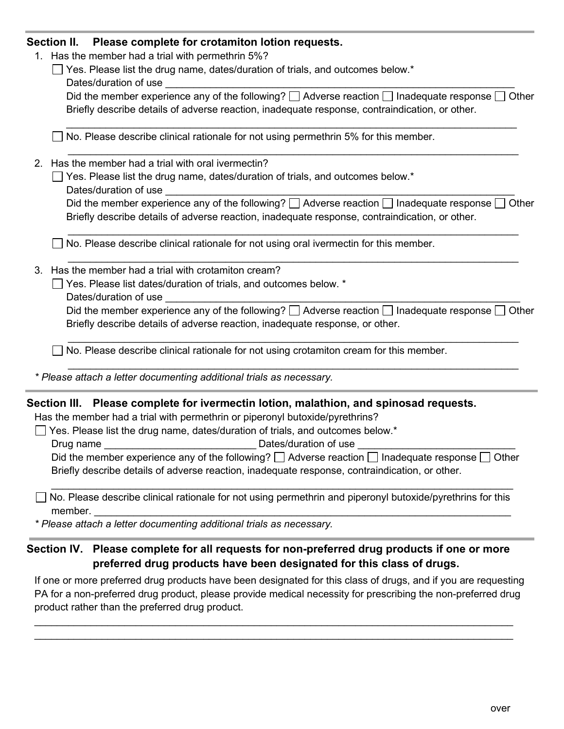### **Section II. Please complete for crotamiton lotion requests.**

- 1. Has the member had a trial with permethrin 5%?
	- $\Box$  Yes. Please list the drug name, dates/duration of trials, and outcomes below.\* Dates/duration of use

| Did the member experience any of the following? $\square$ Adverse reaction $\square$ Inadequate response $\square$ Other |
|--------------------------------------------------------------------------------------------------------------------------|
| Briefly describe details of adverse reaction, inadequate response, contraindication, or other.                           |

 $\_$  ,  $\_$  ,  $\_$  ,  $\_$  ,  $\_$  ,  $\_$  ,  $\_$  ,  $\_$  ,  $\_$  ,  $\_$  ,  $\_$  ,  $\_$  ,  $\_$  ,  $\_$  ,  $\_$  ,  $\_$  ,  $\_$  ,  $\_$  ,  $\_$  ,  $\_$  ,  $\_$  ,  $\_$  ,  $\_$  ,  $\_$  ,  $\_$  ,  $\_$  ,  $\_$  ,  $\_$  ,  $\_$  ,  $\_$  ,  $\_$  ,  $\_$  ,  $\_$  ,  $\_$  ,  $\_$  ,  $\_$  ,  $\_$  ,

\_\_\_\_\_\_\_\_\_\_\_\_\_\_\_\_\_\_\_\_\_\_\_\_\_\_\_\_\_\_\_\_\_\_\_\_\_\_\_\_\_\_\_\_\_\_\_\_\_\_\_\_\_\_\_\_\_\_\_\_\_\_\_\_\_\_\_\_\_\_\_\_\_\_\_\_\_\_\_\_

 $\Box$  No. Please describe clinical rationale for not using permethrin 5% for this member.

- 2. Has the member had a trial with oral ivermectin?
	- $\Box$  Yes. Please list the drug name, dates/duration of trials, and outcomes below.\* Dates/duration of use

| Did the member experience any of the following? $\square$ Adverse reaction $\square$ Inadequate response $\square$ Other |
|--------------------------------------------------------------------------------------------------------------------------|
| Briefly describe details of adverse reaction, inadequate response, contraindication, or other.                           |

\_\_\_\_\_\_\_\_\_\_\_\_\_\_\_\_\_\_\_\_\_\_\_\_\_\_\_\_\_\_\_\_\_\_\_\_\_\_\_\_\_\_\_\_\_\_\_\_\_\_\_\_\_\_\_\_\_\_\_\_\_\_\_\_\_\_\_\_\_\_\_\_\_\_\_\_\_\_\_\_

 $\_$  , and the set of the set of the set of the set of the set of the set of the set of the set of the set of the set of the set of the set of the set of the set of the set of the set of the set of the set of the set of th

 $\Box$  No. Please describe clinical rationale for not using oral ivermectin for this member.

- 3. Has the member had a trial with crotamiton cream?
	- $\Box$  Yes. Please list dates/duration of trials, and outcomes below.  $^*$ 
		- Dates/duration of use

Did the member experience any of the following?  $\Box$  Adverse reaction  $\Box$  Inadequate response  $\Box$  Other Briefly describe details of adverse reaction, inadequate response, or other.

 $\_$  , and the set of the set of the set of the set of the set of the set of the set of the set of the set of the set of the set of the set of the set of the set of the set of the set of the set of the set of the set of th

 $\_$  , and the set of the set of the set of the set of the set of the set of the set of the set of the set of the set of the set of the set of the set of the set of the set of the set of the set of the set of the set of th

 $\Box$  No. Please describe clinical rationale for not using crotamiton cream for this member.

*\* Please attach a letter documenting additional trials as necessary.* 

#### **Section III. Please complete for ivermectin lotion, malathion, and spinosad requests.**

Has the member had a trial with permethrin or piperonyl butoxide/pyrethrins?

 $\Box$  Yes. Please list the drug name, dates/duration of trials, and outcomes below.\*

Drug name **Dates/duration of use**  $\Box$ 

Did the member experience any of the following?  $\Box$  Adverse reaction  $\Box$  Inadequate response  $\Box$  Other Briefly describe details of adverse reaction, inadequate response, contraindication, or other.

\_\_\_\_\_\_\_\_\_\_\_\_\_\_\_\_\_\_\_\_\_\_\_\_\_\_\_\_\_\_\_\_\_\_\_\_\_\_\_\_\_\_\_\_\_\_\_\_\_\_\_\_\_\_\_\_\_\_\_\_\_\_\_\_\_\_\_\_\_\_\_\_\_\_\_\_\_\_\_\_\_\_

\_\_\_\_\_\_\_\_\_\_\_\_\_\_\_\_\_\_\_\_\_\_\_\_\_\_\_\_\_\_\_\_\_\_\_\_\_\_\_\_\_\_\_\_\_\_\_\_\_\_\_\_\_\_\_\_\_\_\_\_\_\_\_\_\_\_\_\_\_\_\_\_\_\_  $\Box$  No. Please describe clinical rationale for not using permethrin and piperonyl butoxide/pyrethrins for this member.

*\* Please attach a letter documenting additional trials as necessary.*

## **Section IV. Please complete for all requests for non-preferred drug products if one or more preferred drug products have been designated for this class of drugs.**

If one or more preferred drug products have been designated for this class of drugs, and if you are requesting PA for a non-preferred drug product, please provide medical necessity for prescribing the non-preferred drug product rather than the preferred drug product.

 $\_$  , and the set of the set of the set of the set of the set of the set of the set of the set of the set of the set of the set of the set of the set of the set of the set of the set of the set of the set of the set of th  $\_$  , and the set of the set of the set of the set of the set of the set of the set of the set of the set of the set of the set of the set of the set of the set of the set of the set of the set of the set of the set of th